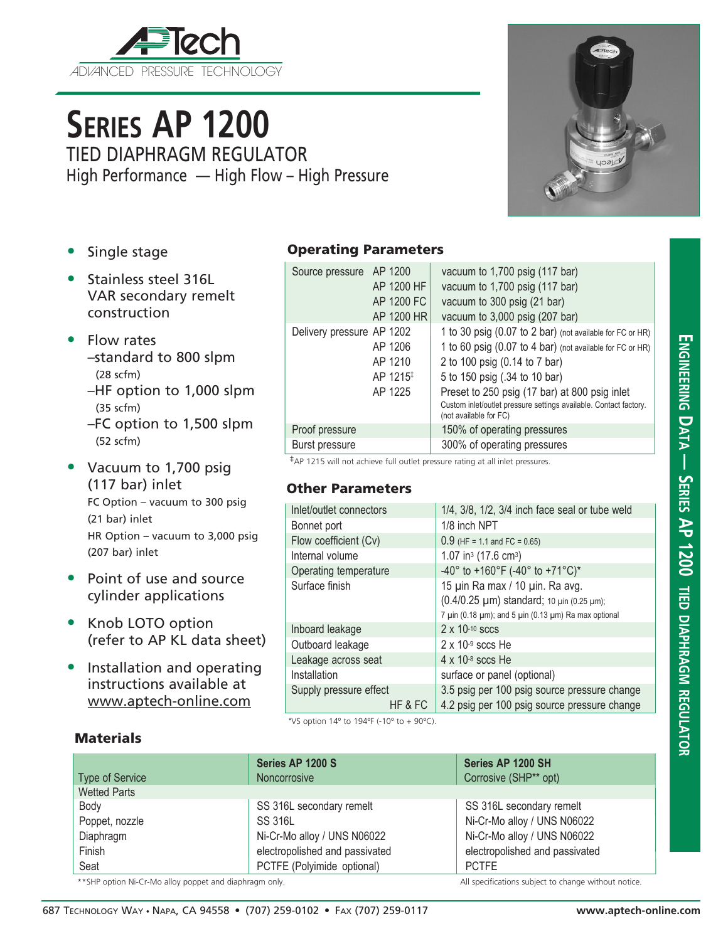

## **Series AP 1200**

TIED DIAPHRAGM REGULATOR High Performance — High Flow – High Pressure  $U221$ 

- Single stage
- Stainless steel 316L VAR secondary remelt construction
- Flow rates
	- –standard to 800 slpm (28 scfm)
	- –HF option to 1,000 slpm (35 scfm)
	- –FC option to 1,500 slpm (52 scfm)
- Vacuum to 1,700 psig (117 bar) inlet FC Option – vacuum to 300 psig (21 bar) inlet HR Option – vacuum to 3,000 psig (207 bar) inlet
- Point of use and source cylinder applications
- Knob LOTO option (refer to AP KL data sheet)
- Installation and operating instructions available at www.aptech-online.com

**Materials** 

## Operating Parameters

| Source pressure AP 1200   | AP 1200 HF<br>AP 1200 FC<br>AP 1200 HR                | vacuum to 1,700 psig (117 bar)<br>vacuum to 1,700 psig (117 bar)<br>vacuum to 300 psig (21 bar)<br>vacuum to 3,000 psig (207 bar)                                                                                                                                                                                                        |
|---------------------------|-------------------------------------------------------|------------------------------------------------------------------------------------------------------------------------------------------------------------------------------------------------------------------------------------------------------------------------------------------------------------------------------------------|
| Delivery pressure AP 1202 | AP 1206<br>AP 1210<br>AP 1215 <sup>‡</sup><br>AP 1225 | 1 to 30 psig (0.07 to 2 bar) (not available for FC or HR)<br>1 to 60 psig (0.07 to 4 bar) (not available for FC or HR)<br>2 to 100 psig (0.14 to 7 bar)<br>5 to 150 psig (.34 to 10 bar)<br>Preset to 250 psig (17 bar) at 800 psig inlet<br>Custom inlet/outlet pressure settings available. Contact factory.<br>(not available for FC) |
| Proof pressure            |                                                       | 150% of operating pressures                                                                                                                                                                                                                                                                                                              |
| Burst pressure            |                                                       | 300% of operating pressures                                                                                                                                                                                                                                                                                                              |

‡AP 1215 will not achieve full outlet pressure rating at all inlet pressures.

## Other Parameters

| Inlet/outlet connectors | $1/4$ , $3/8$ , $1/2$ , $3/4$ inch face seal or tube weld                                                                                                |  |  |
|-------------------------|----------------------------------------------------------------------------------------------------------------------------------------------------------|--|--|
| Bonnet port             | 1/8 inch NPT                                                                                                                                             |  |  |
| Flow coefficient (Cv)   | $0.9$ (HF = 1.1 and FC = 0.65)                                                                                                                           |  |  |
| Internal volume         | 1.07 in <sup>3</sup> (17.6 cm <sup>3</sup> )                                                                                                             |  |  |
| Operating temperature   | -40° to +160°F (-40° to +71°C)*                                                                                                                          |  |  |
| Surface finish          | 15 µin Ra max / 10 µin. Ra avg.<br>(0.4/0.25 µm) standard; 10 µin (0.25 µm);<br>7 $\mu$ in (0.18 $\mu$ m); and 5 $\mu$ in (0.13 $\mu$ m) Ra max optional |  |  |
| Inboard leakage         | $2 \times 10^{-10}$ sccs                                                                                                                                 |  |  |
| Outboard leakage        | $2 \times 10^{-9}$ sccs He                                                                                                                               |  |  |
| Leakage across seat     | $4 \times 10^{-8}$ sccs He                                                                                                                               |  |  |
| Installation            | surface or panel (optional)                                                                                                                              |  |  |
| Supply pressure effect  | 3.5 psig per 100 psig source pressure change                                                                                                             |  |  |
| HF & FC                 | 4.2 psig per 100 psig source pressure change                                                                                                             |  |  |

\*VS option  $14^{\circ}$  to  $194^{\circ}$  (-10° to +  $90^{\circ}$ C).

| <b>Type of Service</b>                                  | Series AP 1200 S<br>Noncorrosive | Series AP 1200 SH<br>Corrosive (SHP** opt)           |
|---------------------------------------------------------|----------------------------------|------------------------------------------------------|
| <b>Wetted Parts</b>                                     |                                  |                                                      |
| Body                                                    | SS 316L secondary remelt         | SS 316L secondary remelt                             |
| Poppet, nozzle                                          | SS 316L                          | Ni-Cr-Mo alloy / UNS N06022                          |
| Diaphragm                                               | Ni-Cr-Mo alloy / UNS N06022      | Ni-Cr-Mo alloy / UNS N06022                          |
| Finish                                                  | electropolished and passivated   | electropolished and passivated                       |
| Seat                                                    | PCTFE (Polyimide optional)       | <b>PCTFE</b>                                         |
| ** SHP option Ni-Cr-Mo alloy poppet and diaphragm only. |                                  | All specifications subject to change without notice. |

**ator**